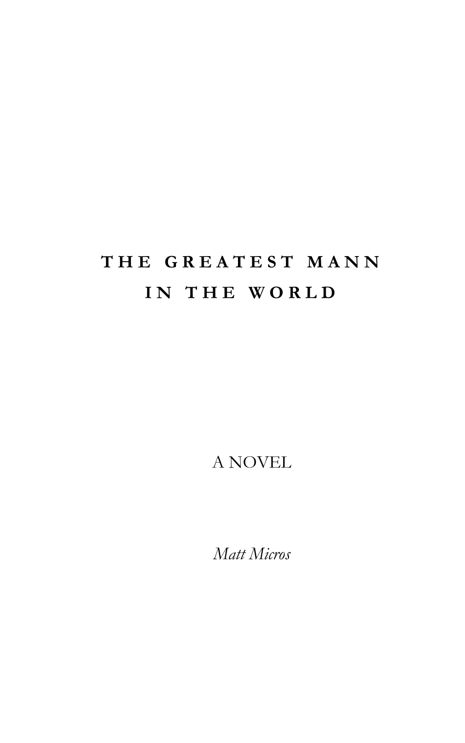## **T H E G R E A T E S T M A N N I N T H E W O R L D**

A NOVEL

*Matt Micros*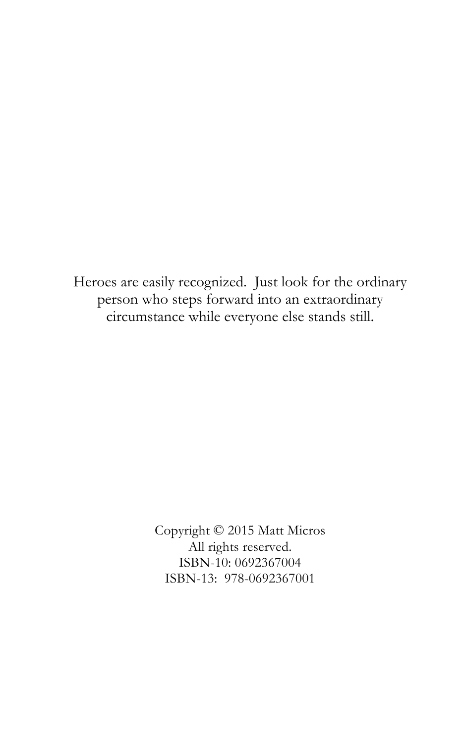Heroes are easily recognized. Just look for the ordinary person who steps forward into an extraordinary circumstance while everyone else stands still.

> Copyright © 2015 Matt Micros All rights reserved. ISBN-10: 0692367004 ISBN-13: 978-0692367001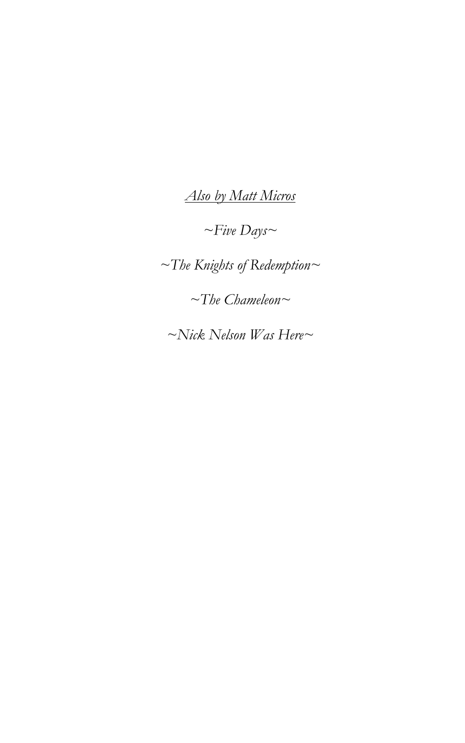*Also by Matt Micros*

*~Five Days~*

*~The Knights of Redemption~*

*~The Chameleon~*

*~Nick Nelson Was Here~*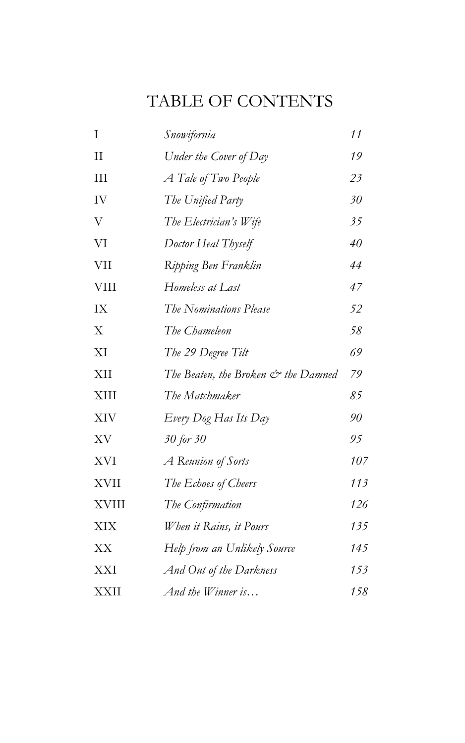## TABLE OF CONTENTS

| Ι            | Snowifornia                         | 11  |
|--------------|-------------------------------------|-----|
| $\mathbf{H}$ | Under the Cover of Day              | 19  |
| III          | A Tale of Two People                | 23  |
| IV           | The Unified Party                   | 30  |
| V            | The Electrician's Wife              | 35  |
| VI           | Doctor Heal Thyself                 | 40  |
| VII          | Ripping Ben Franklin                | 44  |
| <b>VIII</b>  | Homeless at Last                    | 47  |
| IX           | The Nominations Please              | 52  |
| X            | The Chameleon                       | 58  |
| XI           | The 29 Degree Tilt                  | 69  |
| XII          | The Beaten, the Broken & the Damned | 79  |
| XIII         | The Matchmaker                      | 85  |
| <b>XIV</b>   | Every Dog Has Its Day               | 90  |
| XV           | 30 for 30                           | 95  |
| <b>XVI</b>   | A Reunion of Sorts                  | 107 |
| <b>XVII</b>  | The Echoes of Cheers                | 113 |
| <b>XVIII</b> | The Confirmation                    | 126 |
| XIX          | When it Rains, it Pours             | 135 |
| XX           | Help from an Unlikely Source        | 145 |
| <b>XXI</b>   | And Out of the Darkness             | 153 |
| <b>XXII</b>  | And the Winner is                   | 158 |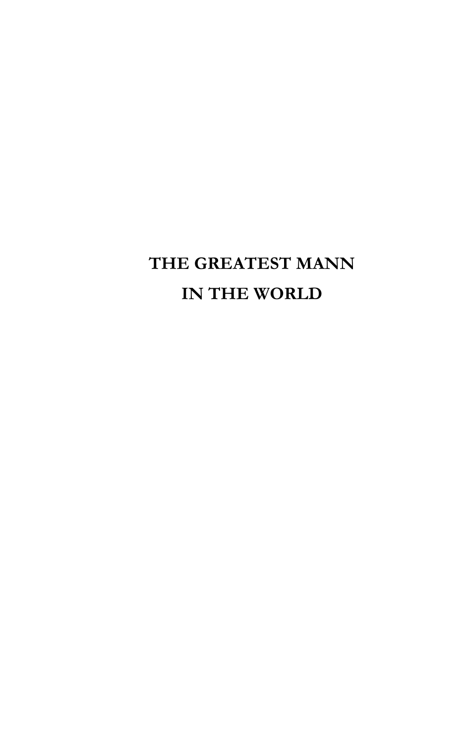## **THE GREATEST MANN IN THE WORLD**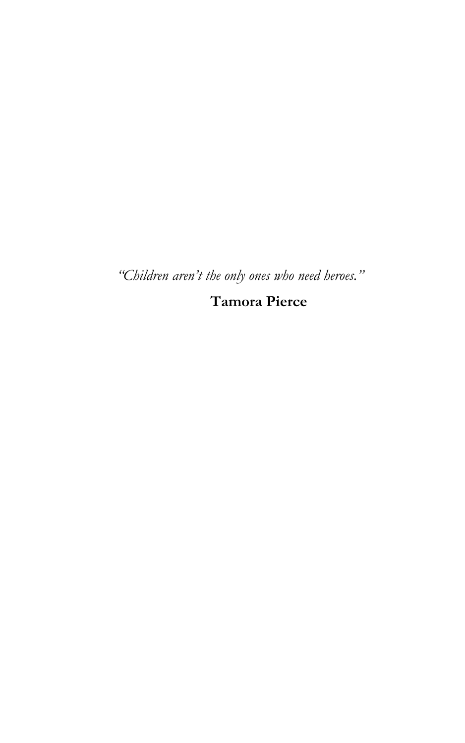*"Children aren't the only ones who need heroes."*

**Tamora Pierce**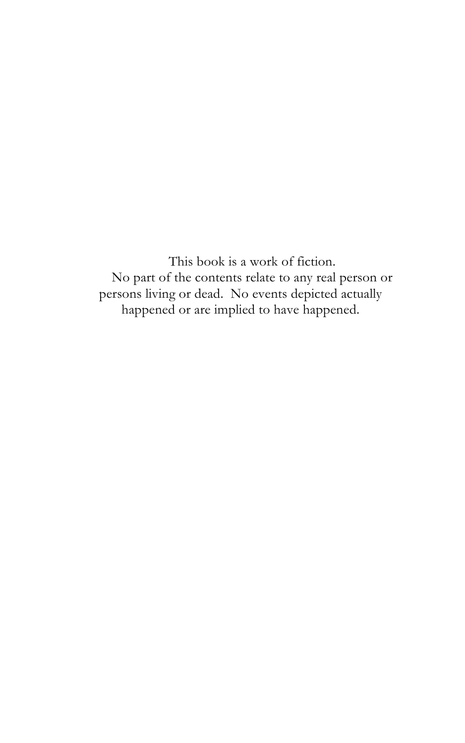This book is a work of fiction. No part of the contents relate to any real person or persons living or dead. No events depicted actually happened or are implied to have happened.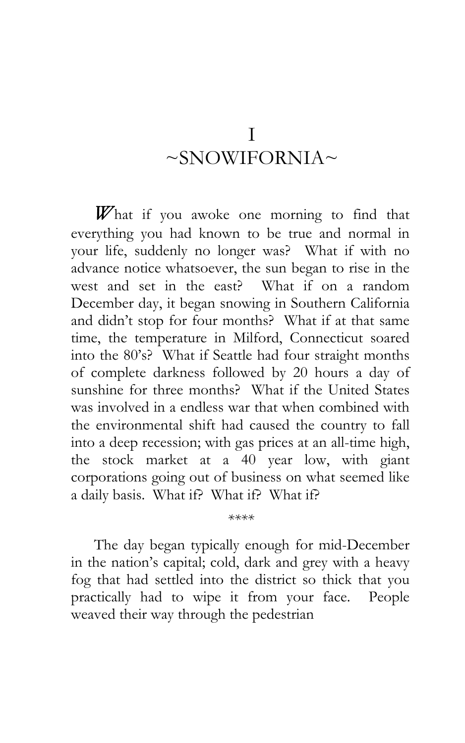## I  $\sim$ SNOWIFORNIA $\sim$

*W*hat if you awoke one morning to find that everything you had known to be true and normal in your life, suddenly no longer was? What if with no advance notice whatsoever, the sun began to rise in the west and set in the east? What if on a random December day, it began snowing in Southern California and didn't stop for four months? What if at that same time, the temperature in Milford, Connecticut soared into the 80's? What if Seattle had four straight months of complete darkness followed by 20 hours a day of sunshine for three months? What if the United States was involved in a endless war that when combined with the environmental shift had caused the country to fall into a deep recession; with gas prices at an all-time high, the stock market at a 40 year low, with giant corporations going out of business on what seemed like a daily basis. What if? What if? What if?

The day began typically enough for mid-December in the nation's capital; cold, dark and grey with a heavy fog that had settled into the district so thick that you practically had to wipe it from your face. People weaved their way through the pedestrian

*\*\*\*\**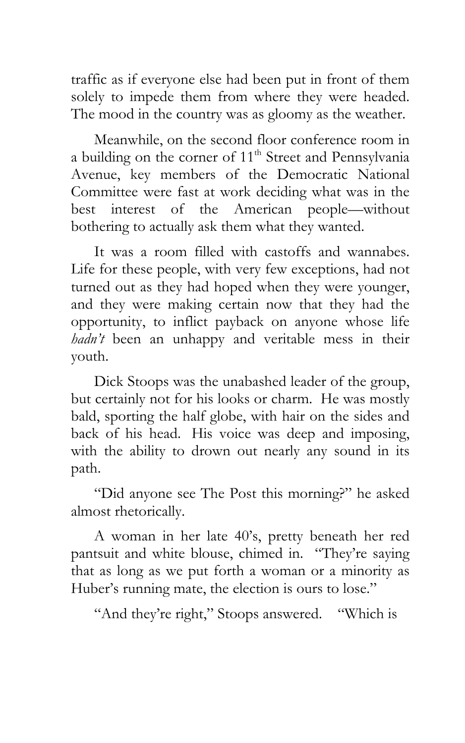traffic as if everyone else had been put in front of them solely to impede them from where they were headed. The mood in the country was as gloomy as the weather.

Meanwhile, on the second floor conference room in a building on the corner of  $11<sup>th</sup>$  Street and Pennsylvania Avenue, key members of the Democratic National Committee were fast at work deciding what was in the best interest of the American people—without bothering to actually ask them what they wanted.

It was a room filled with castoffs and wannabes. Life for these people, with very few exceptions, had not turned out as they had hoped when they were younger, and they were making certain now that they had the opportunity, to inflict payback on anyone whose life *hadn't* been an unhappy and veritable mess in their youth.

Dick Stoops was the unabashed leader of the group, but certainly not for his looks or charm. He was mostly bald, sporting the half globe, with hair on the sides and back of his head. His voice was deep and imposing, with the ability to drown out nearly any sound in its path.

"Did anyone see The Post this morning?" he asked almost rhetorically.

A woman in her late 40's, pretty beneath her red pantsuit and white blouse, chimed in. "They're saying that as long as we put forth a woman or a minority as Huber's running mate, the election is ours to lose."

"And they're right," Stoops answered. "Which is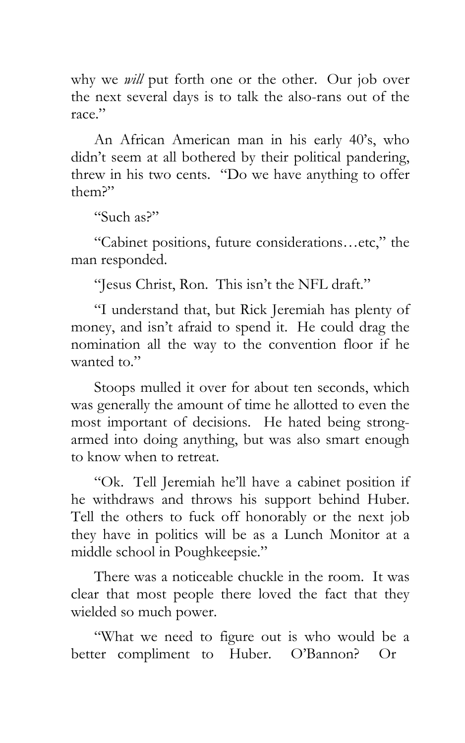why we *will* put forth one or the other. Our job over the next several days is to talk the also-rans out of the race."

An African American man in his early 40's, who didn't seem at all bothered by their political pandering, threw in his two cents. "Do we have anything to offer them?"

"Such as?"

"Cabinet positions, future considerations…etc," the man responded.

"Jesus Christ, Ron. This isn't the NFL draft."

"I understand that, but Rick Jeremiah has plenty of money, and isn't afraid to spend it. He could drag the nomination all the way to the convention floor if he wanted to."

Stoops mulled it over for about ten seconds, which was generally the amount of time he allotted to even the most important of decisions. He hated being strongarmed into doing anything, but was also smart enough to know when to retreat.

"Ok. Tell Jeremiah he'll have a cabinet position if he withdraws and throws his support behind Huber. Tell the others to fuck off honorably or the next job they have in politics will be as a Lunch Monitor at a middle school in Poughkeepsie."

There was a noticeable chuckle in the room. It was clear that most people there loved the fact that they wielded so much power.

"What we need to figure out is who would be a better compliment to Huber. O'Bannon? Or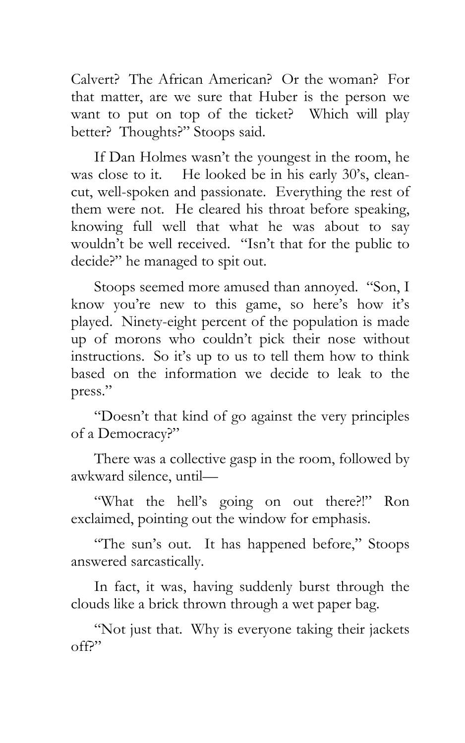Calvert? The African American? Or the woman? For that matter, are we sure that Huber is the person we want to put on top of the ticket? Which will play better? Thoughts?" Stoops said.

If Dan Holmes wasn't the youngest in the room, he was close to it. He looked be in his early 30's, cleancut, well-spoken and passionate. Everything the rest of them were not. He cleared his throat before speaking, knowing full well that what he was about to say wouldn't be well received. "Isn't that for the public to decide?" he managed to spit out.

Stoops seemed more amused than annoyed. "Son, I know you're new to this game, so here's how it's played. Ninety-eight percent of the population is made up of morons who couldn't pick their nose without instructions. So it's up to us to tell them how to think based on the information we decide to leak to the press."

"Doesn't that kind of go against the very principles of a Democracy?"

There was a collective gasp in the room, followed by awkward silence, until—

"What the hell's going on out there?!" Ron exclaimed, pointing out the window for emphasis.

"The sun's out. It has happened before," Stoops answered sarcastically.

In fact, it was, having suddenly burst through the clouds like a brick thrown through a wet paper bag.

"Not just that. Why is everyone taking their jackets off?"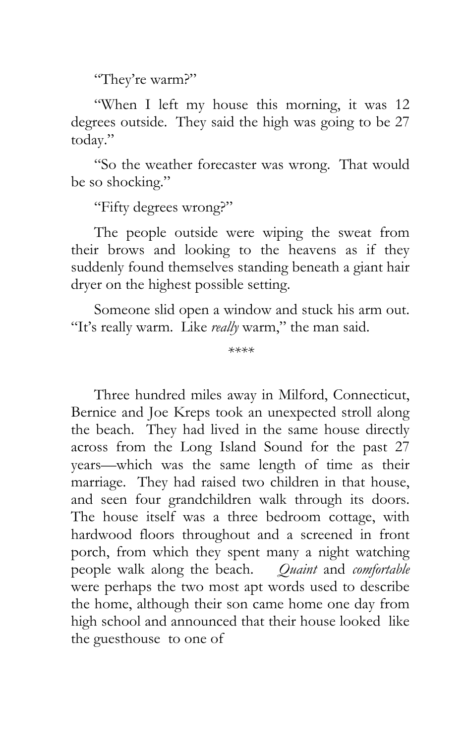"They're warm?"

"When I left my house this morning, it was 12 degrees outside. They said the high was going to be 27 today."

"So the weather forecaster was wrong. That would be so shocking."

"Fifty degrees wrong?"

The people outside were wiping the sweat from their brows and looking to the heavens as if they suddenly found themselves standing beneath a giant hair dryer on the highest possible setting.

Someone slid open a window and stuck his arm out. "It's really warm. Like *really* warm," the man said.

*\*\*\*\**

Three hundred miles away in Milford, Connecticut, Bernice and Joe Kreps took an unexpected stroll along the beach. They had lived in the same house directly across from the Long Island Sound for the past 27 years—which was the same length of time as their marriage. They had raised two children in that house, and seen four grandchildren walk through its doors. The house itself was a three bedroom cottage, with hardwood floors throughout and a screened in front porch, from which they spent many a night watching people walk along the beach. *Quaint* and *comfortable* were perhaps the two most apt words used to describe the home, although their son came home one day from high school and announced that their house looked like the guesthouse to one of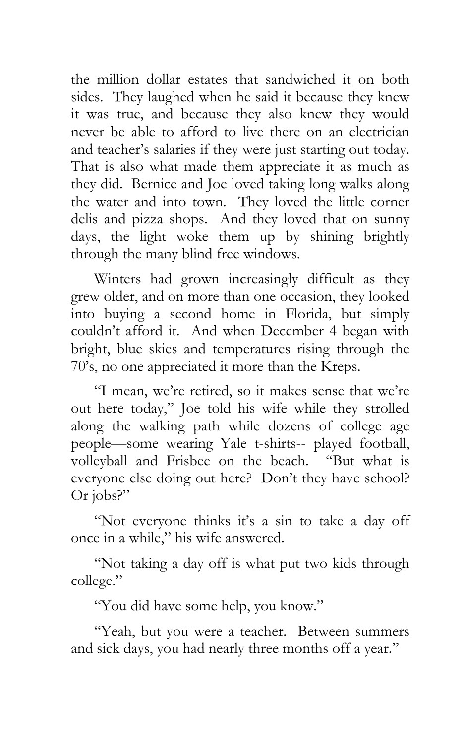the million dollar estates that sandwiched it on both sides. They laughed when he said it because they knew it was true, and because they also knew they would never be able to afford to live there on an electrician and teacher's salaries if they were just starting out today. That is also what made them appreciate it as much as they did. Bernice and Joe loved taking long walks along the water and into town. They loved the little corner delis and pizza shops. And they loved that on sunny days, the light woke them up by shining brightly through the many blind free windows.

Winters had grown increasingly difficult as they grew older, and on more than one occasion, they looked into buying a second home in Florida, but simply couldn't afford it. And when December 4 began with bright, blue skies and temperatures rising through the 70's, no one appreciated it more than the Kreps.

"I mean, we're retired, so it makes sense that we're out here today," Joe told his wife while they strolled along the walking path while dozens of college age people—some wearing Yale t-shirts-- played football, volleyball and Frisbee on the beach. "But what is everyone else doing out here? Don't they have school? Or jobs?"

"Not everyone thinks it's a sin to take a day off once in a while," his wife answered.

"Not taking a day off is what put two kids through college."

"You did have some help, you know."

"Yeah, but you were a teacher. Between summers and sick days, you had nearly three months off a year."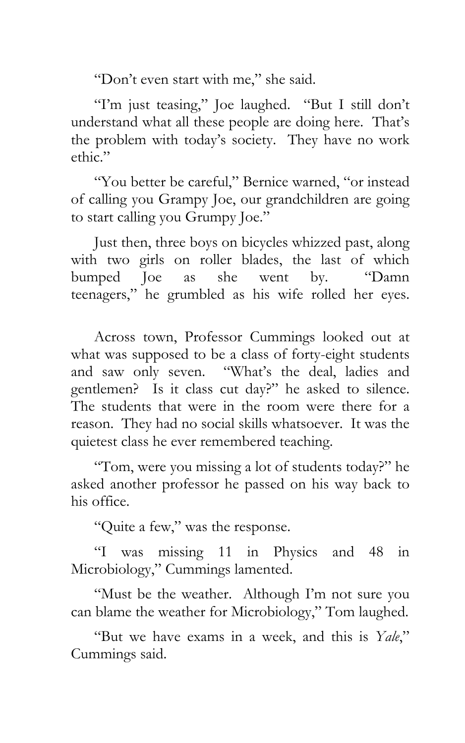"Don't even start with me," she said.

"I'm just teasing," Joe laughed. "But I still don't understand what all these people are doing here. That's the problem with today's society. They have no work ethic."

"You better be careful," Bernice warned, "or instead of calling you Grampy Joe, our grandchildren are going to start calling you Grumpy Joe."

Just then, three boys on bicycles whizzed past, along with two girls on roller blades, the last of which bumped Joe as she went by. "Damn teenagers," he grumbled as his wife rolled her eyes.

Across town, Professor Cummings looked out at what was supposed to be a class of forty-eight students and saw only seven. "What's the deal, ladies and gentlemen? Is it class cut day?" he asked to silence. The students that were in the room were there for a reason. They had no social skills whatsoever. It was the quietest class he ever remembered teaching.

"Tom, were you missing a lot of students today?" he asked another professor he passed on his way back to his office.

"Quite a few," was the response.

"I was missing 11 in Physics and 48 in Microbiology," Cummings lamented.

"Must be the weather. Although I'm not sure you can blame the weather for Microbiology," Tom laughed.

"But we have exams in a week, and this is *Yale*," Cummings said.